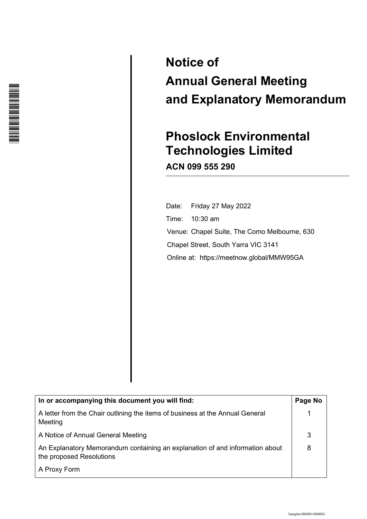

# **Notice of Annual General Meeting and Explanatory Memorandum**

## **Phoslock Environmental Technologies Limited ACN 099 555 290**

 Date: Friday 27 May 2022 Time: 10:30 am Venue: Chapel Suite, The Como Melbourne, 630 Chapel Street, South Yarra VIC 3141 21/33 Online at: https://meetnow.global/MMW95GA

| In or accompanying this document you will find:                                                          | Page No |
|----------------------------------------------------------------------------------------------------------|---------|
| A letter from the Chair outlining the items of business at the Annual General<br>Meeting                 |         |
| A Notice of Annual General Meeting                                                                       | 3       |
| An Explanatory Memorandum containing an explanation of and information about<br>the proposed Resolutions | 8       |
| A Proxy Form                                                                                             |         |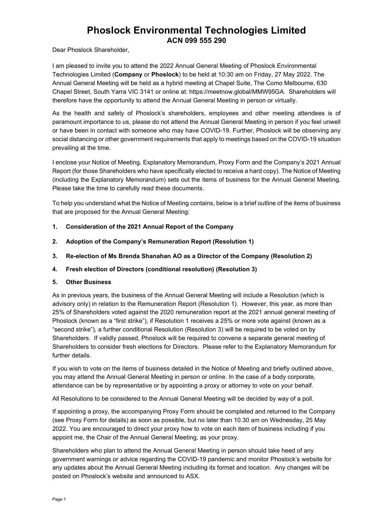## **Phoslock Environmental Technologies Limited ACN 099 555 290**

Dear Phoslock Shareholder,

 I am pleased to invite you to attend the 2022 Annual General Meeting of Phoslock Environmental Technologies Limited (**Company** or **Phoslock**) to be held at 10:30 am on Friday, 27 May 2022. The Annual General Meeting will be held as a hybrid meeting at Chapel Suite, The Como Melbourne, 630 Chapel Street, South Yarra VIC 3141 or online at: https://meetnow.global/MMW95GA. Shareholders will therefore have the opportunity to attend the Annual General Meeting in person or virtually.

As the health and safety of Phoslock's shareholders, employees and other meeting attendees is of paramount importance to us, please do not attend the Annual General Meeting in person if you feel unwell or have been in contact with someone who may have COVID-19. Further, Phoslock will be observing any social distancing or other government requirements that apply to meetings based on the COVID-19 situation prevailing at the time.

I enclose your Notice of Meeting, Explanatory Memorandum, Proxy Form and the Company's 2021 Annual Report (for those Shareholders who have specifically elected to receive a hard copy). The Notice of Meeting (including the Explanatory Memorandum) sets out the items of business for the Annual General Meeting. Please take the time to carefully read these documents.

To help you understand what the Notice of Meeting contains, below is a brief outline of the items of business that are proposed for the Annual General Meeting:

- **1. Consideration of the 2021 Annual Report of the Company**
- **2. Adoption of the Company's Remuneration Report (Resolution 1)**
- **3. Re-election of Ms Brenda Shanahan AO as a Director of the Company (Resolution 2)**
- **4. Fresh election of Directors (conditional resolution) (Resolution 3)**

#### **5. Other Business**

As in previous years, the business of the Annual General Meeting will include a Resolution (which is advisory only) in relation to the Remuneration Report (Resolution 1). However, this year, as more than 25% of Shareholders voted against the 2020 remuneration report at the 2021 annual general meeting of Phoslock (known as a "first strike"), if Resolution 1 receives a 25% or more vote against (known as a "second strike"), a further conditional Resolution (Resolution 3) will be required to be voted on by Shareholders. If validly passed, Phoslock will be required to convene a separate general meeting of Shareholders to consider fresh elections for Directors. Please refer to the Explanatory Memorandum for further details.

If you wish to vote on the items of business detailed in the Notice of Meeting and briefly outlined above, you may attend the Annual General Meeting in person or online. In the case of a body corporate, attendance can be by representative or by appointing a proxy or attorney to vote on your behalf.

All Resolutions to be considered to the Annual General Meeting will be decided by way of a poll.

If appointing a proxy, the accompanying Proxy Form should be completed and returned to the Company (see Proxy Form for details) as soon as possible, but no later than 10.30 am on Wednesday, 25 May 2022. You are encouraged to direct your proxy how to vote on each item of business including if you appoint me, the Chair of the Annual General Meeting, as your proxy.

Shareholders who plan to attend the Annual General Meeting in person should take heed of any government warnings or advice regarding the COVID-19 pandemic and monitor Phoslock's website for any updates about the Annual General Meeting including its format and location. Any changes will be posted on Phoslock's website and announced to ASX.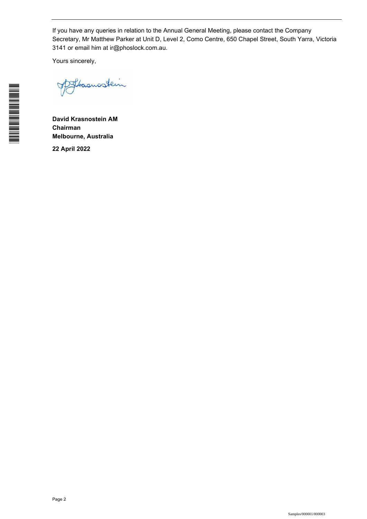If you have any queries in relation to the Annual General Meeting, please contact the Company Secretary, Mr Matthew Parker at Unit D, Level 2, Como Centre, 650 Chapel Street, South Yarra, Victoria 3141 or email him at ir@phoslock.com.au.

Yours sincerely,

phasmosterin

**David Krasnostein AM Chairman Melbourne, Australia** 

**22 April 2022**

Page 2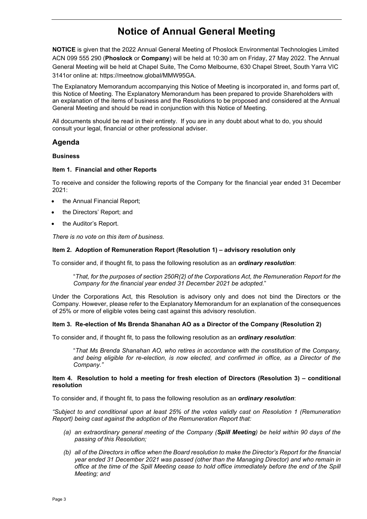## **Notice of Annual General Meeting**

 **NOTICE** is given that the 2022 Annual General Meeting of Phoslock Environmental Technologies Limited ACN 099 555 290 (**Phoslock** or **Company**) will be held at 10:30 am on Friday, 27 May 2022. The Annual General Meeting will be held at Chapel Suite, The Como Melbourne, 630 Chapel Street, South Yarra VIC 3141or online at: https://meetnow.global/MMW95GA.

The Explanatory Memorandum accompanying this Notice of Meeting is incorporated in, and forms part of, this Notice of Meeting. The Explanatory Memorandum has been prepared to provide Shareholders with an explanation of the items of business and the Resolutions to be proposed and considered at the Annual General Meeting and should be read in conjunction with this Notice of Meeting.

All documents should be read in their entirety. If you are in any doubt about what to do, you should consult your legal, financial or other professional adviser.

#### **Agenda**

#### **Business**

#### **Item 1. Financial and other Reports**

To receive and consider the following reports of the Company for the financial year ended 31 December 2021:

- the Annual Financial Report;
- the Directors' Report; and
- the Auditor's Report.

*There is no vote on this item of business.* 

#### **Item 2. Adoption of Remuneration Report (Resolution 1) – advisory resolution only**

To consider and, if thought fit, to pass the following resolution as an *ordinary resolution*:

"*That, for the purposes of section 250R(2) of the Corporations Act, the Remuneration Report for the Company for the financial year ended 31 December 2021 be adopted.*"

Under the Corporations Act, this Resolution is advisory only and does not bind the Directors or the Company. However, please refer to the Explanatory Memorandum for an explanation of the consequences of 25% or more of eligible votes being cast against this advisory resolution.

#### **Item 3. Re-election of Ms Brenda Shanahan AO as a Director of the Company (Resolution 2)**

To consider and, if thought fit, to pass the following resolution as an *ordinary resolution*:

"*That Ms Brenda Shanahan AO, who retires in accordance with the constitution of the Company, and being eligible for re-election, is now elected, and confirmed in office, as a Director of the Company."* 

#### **Item 4. Resolution to hold a meeting for fresh election of Directors (Resolution 3) – conditional resolution**

To consider and, if thought fit, to pass the following resolution as an *ordinary resolution*:

*"Subject to and conditional upon at least 25% of the votes validly cast on Resolution 1 (Remuneration Report) being cast against the adoption of the Remuneration Report that:* 

- *(a) an extraordinary general meeting of the Company (Spill Meeting) be held within 90 days of the passing of this Resolution;*
- *(b) all of the Directors in office when the Board resolution to make the Director's Report for the financial year ended 31 December 2021 was passed (other than the Managing Director) and who remain in office at the time of the Spill Meeting cease to hold office immediately before the end of the Spill Meeting; and*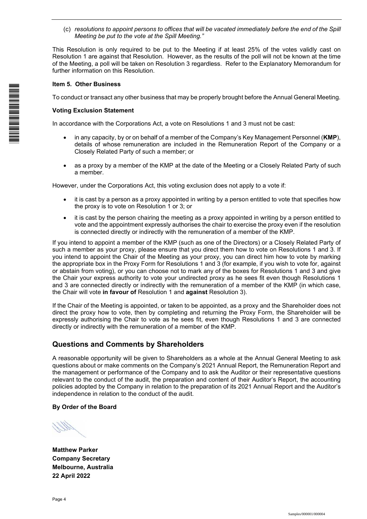(c) *resolutions to appoint persons to offices that will be vacated immediately before the end of the Spill Meeting be put to the vote at the Spill Meeting."*

This Resolution is only required to be put to the Meeting if at least 25% of the votes validly cast on Resolution 1 are against that Resolution. However, as the results of the poll will not be known at the time of the Meeting, a poll will be taken on Resolution 3 regardless. Refer to the Explanatory Memorandum for further information on this Resolution.

#### **Item 5. Other Business**

To conduct or transact any other business that may be properly brought before the Annual General Meeting.

#### **Voting Exclusion Statement**

In accordance with the Corporations Act, a vote on Resolutions 1 and 3 must not be cast:

- in any capacity, by or on behalf of a member of the Company's Key Management Personnel (**KMP**), details of whose remuneration are included in the Remuneration Report of the Company or a Closely Related Party of such a member; or
- as a proxy by a member of the KMP at the date of the Meeting or a Closely Related Party of such a member.

However, under the Corporations Act, this voting exclusion does not apply to a vote if:

- it is cast by a person as a proxy appointed in writing by a person entitled to vote that specifies how the proxy is to vote on Resolution 1 or 3; or
- it is cast by the person chairing the meeting as a proxy appointed in writing by a person entitled to vote and the appointment expressly authorises the chair to exercise the proxy even if the resolution is connected directly or indirectly with the remuneration of a member of the KMP.

If you intend to appoint a member of the KMP (such as one of the Directors) or a Closely Related Party of such a member as your proxy, please ensure that you direct them how to vote on Resolutions 1 and 3. If you intend to appoint the Chair of the Meeting as your proxy, you can direct him how to vote by marking the appropriate box in the Proxy Form for Resolutions 1 and 3 (for example, if you wish to vote for, against or abstain from voting), or you can choose not to mark any of the boxes for Resolutions 1 and 3 and give the Chair your express authority to vote your undirected proxy as he sees fit even though Resolutions 1 and 3 are connected directly or indirectly with the remuneration of a member of the KMP (in which case, the Chair will vote **in favour of** Resolution 1 and **against** Resolution 3).

If the Chair of the Meeting is appointed, or taken to be appointed, as a proxy and the Shareholder does not direct the proxy how to vote, then by completing and returning the Proxy Form, the Shareholder will be expressly authorising the Chair to vote as he sees fit, even though Resolutions 1 and 3 are connected directly or indirectly with the remuneration of a member of the KMP.

#### **Questions and Comments by Shareholders**

A reasonable opportunity will be given to Shareholders as a whole at the Annual General Meeting to ask questions about or make comments on the Company's 2021 Annual Report, the Remuneration Report and the management or performance of the Company and to ask the Auditor or their representative questions relevant to the conduct of the audit, the preparation and content of their Auditor's Report, the accounting policies adopted by the Company in relation to the preparation of its 2021 Annual Report and the Auditor's independence in relation to the conduct of the audit.

#### **By Order of the Board**

**Matthew Parker Company Secretary Melbourne, Australia 22 April 2022**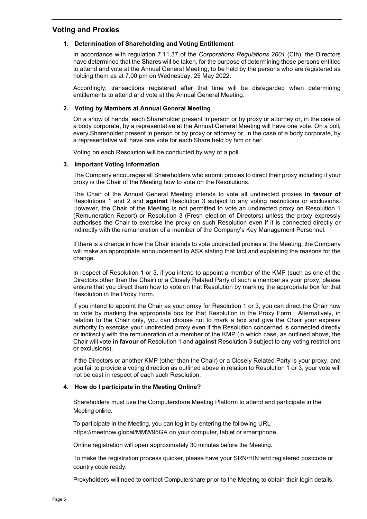#### **Voting and Proxies**

#### **1. Determination of Shareholding and Voting Entitlement**

In accordance with regulation 7.11.37 of the *Corporations Regulations 2001* (Cth), the Directors have determined that the Shares will be taken, for the purpose of determining those persons entitled to attend and vote at the Annual General Meeting, to be held by the persons who are registered as holding them as at 7.00 pm on Wednesday, 25 May 2022.

Accordingly, transactions registered after that time will be disregarded when determining entitlements to attend and vote at the Annual General Meeting.

#### **2. Voting by Members at Annual General Meeting**

On a show of hands, each Shareholder present in person or by proxy or attorney or, in the case of a body corporate, by a representative at the Annual General Meeting will have one vote. On a poll, every Shareholder present in person or by proxy or attorney or, in the case of a body corporate, by a representative will have one vote for each Share held by him or her.

Voting on each Resolution will be conducted by way of a poll.

#### **3. Important Voting Information**

The Company encourages all Shareholders who submit proxies to direct their proxy including if your proxy is the Chair of the Meeting how to vote on the Resolutions.

The Chair of the Annual General Meeting intends to vote all undirected proxies **in favour of** Resolutions 1 and 2 and **against** Resolution 3 subject to any voting restrictions or exclusions. However, the Chair of the Meeting is not permitted to vote an undirected proxy on Resolution 1 (Remuneration Report) or Resolution 3 (Fresh election of Directors) unless the proxy expressly authorises the Chair to exercise the proxy on such Resolution even if it is connected directly or indirectly with the remuneration of a member of the Company's Key Management Personnel.

If there is a change in how the Chair intends to vote undirected proxies at the Meeting, the Company will make an appropriate announcement to ASX stating that fact and explaining the reasons for the change.

In respect of Resolution 1 or 3, if you intend to appoint a member of the KMP (such as one of the Directors other than the Chair) or a Closely Related Party of such a member as your proxy, please ensure that you direct them how to vote on that Resolution by marking the appropriate box for that Resolution in the Proxy Form.

If you intend to appoint the Chair as your proxy for Resolution 1 or 3, you can direct the Chair how to vote by marking the appropriate box for that Resolution in the Proxy Form. Alternatively, in relation to the Chair only, you can choose not to mark a box and give the Chair your express authority to exercise your undirected proxy even if the Resolution concerned is connected directly or indirectly with the remuneration of a member of the KMP (in which case, as outlined above, the Chair will vote **in favour of** Resolution 1 and **against** Resolution 3 subject to any voting restrictions or exclusions).

If the Directors or another KMP (other than the Chair) or a Closely Related Party is your proxy, and you fail to provide a voting direction as outlined above in relation to Resolution 1 or 3, your vote will not be cast in respect of each such Resolution.

#### **4. How do I participate in the Meeting Online?**

Shareholders must use the Computershare Meeting Platform to attend and participate in the Meeting online.

To participate in the Meeting, you can log in by entering the following URL https://meetnow.global/MMW95GA on your computer, tablet or smartphone.

Online registration will open approximately 30 minutes before the Meeting.

To make the registration process quicker, please have your SRN/HIN and registered postcode or country code ready.

Proxyholders will need to contact Computershare prior to the Meeting to obtain their login details.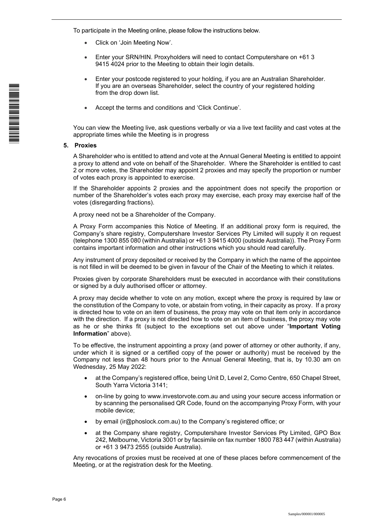To participate in the Meeting online, please follow the instructions below.

- Click on 'Join Meeting Now'.
- Enter your SRN/HIN. Proxyholders will need to contact Computershare on +61 3 9415 4024 prior to the Meeting to obtain their login details.
- Enter your postcode registered to your holding, if you are an Australian Shareholder. If you are an overseas Shareholder, select the country of your registered holding from the drop down list.
- Accept the terms and conditions and 'Click Continue'.

You can view the Meeting live, ask questions verbally or via a live text facility and cast votes at the appropriate times while the Meeting is in progress

#### **5. Proxies**

A Shareholder who is entitled to attend and vote at the Annual General Meeting is entitled to appoint a proxy to attend and vote on behalf of the Shareholder. Where the Shareholder is entitled to cast 2 or more votes, the Shareholder may appoint 2 proxies and may specify the proportion or number of votes each proxy is appointed to exercise.

If the Shareholder appoints 2 proxies and the appointment does not specify the proportion or number of the Shareholder's votes each proxy may exercise, each proxy may exercise half of the votes (disregarding fractions).

A proxy need not be a Shareholder of the Company.

A Proxy Form accompanies this Notice of Meeting. If an additional proxy form is required, the Company's share registry, Computershare Investor Services Pty Limited will supply it on request (telephone 1300 855 080 (within Australia) or +61 3 9415 4000 (outside Australia)). The Proxy Form contains important information and other instructions which you should read carefully.

Any instrument of proxy deposited or received by the Company in which the name of the appointee is not filled in will be deemed to be given in favour of the Chair of the Meeting to which it relates.

Proxies given by corporate Shareholders must be executed in accordance with their constitutions or signed by a duly authorised officer or attorney.

A proxy may decide whether to vote on any motion, except where the proxy is required by law or the constitution of the Company to vote, or abstain from voting, in their capacity as proxy. If a proxy is directed how to vote on an item of business, the proxy may vote on that item only in accordance with the direction. If a proxy is not directed how to vote on an item of business, the proxy may vote as he or she thinks fit (subject to the exceptions set out above under "**Important Voting Information**" above).

To be effective, the instrument appointing a proxy (and power of attorney or other authority, if any, under which it is signed or a certified copy of the power or authority) must be received by the Company not less than 48 hours prior to the Annual General Meeting, that is, by 10.30 am on Wednesday, 25 May 2022:

- at the Company's registered office, being Unit D, Level 2, Como Centre, 650 Chapel Street, South Yarra Victoria 3141;
- on-line by going to www.investorvote.com.au and using your secure access information or by scanning the personalised QR Code, found on the accompanying Proxy Form, with your mobile device;
- by email (ir@phoslock.com.au) to the Company's registered office; or
- at the Company share registry, Computershare Investor Services Pty Limited, GPO Box 242, Melbourne, Victoria 3001 or by facsimile on fax number 1800 783 447 (within Australia) or +61 3 9473 2555 (outside Australia).

Any revocations of proxies must be received at one of these places before commencement of the Meeting, or at the registration desk for the Meeting.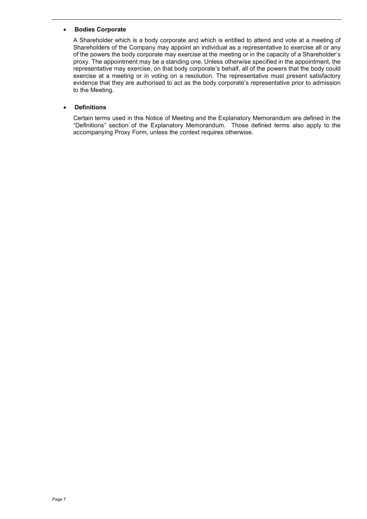#### **Bodies Corporate**

A Shareholder which is a body corporate and which is entitled to attend and vote at a meeting of Shareholders of the Company may appoint an individual as a representative to exercise all or any of the powers the body corporate may exercise at the meeting or in the capacity of a Shareholder's proxy. The appointment may be a standing one. Unless otherwise specified in the appointment, the representative may exercise, on that body corporate's behalf, all of the powers that the body could exercise at a meeting or in voting on a resolution. The representative must present satisfactory evidence that they are authorised to act as the body corporate's representative prior to admission to the Meeting.

#### **Definitions**

Certain terms used in this Notice of Meeting and the Explanatory Memorandum are defined in the "Definitions" section of the Explanatory Memorandum. Those defined terms also apply to the accompanying Proxy Form, unless the context requires otherwise.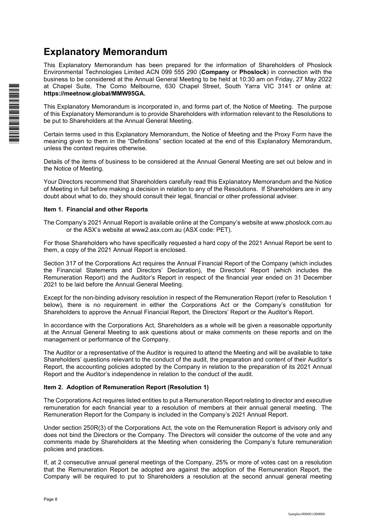## **Explanatory Memorandum**

This Explanatory Memorandum has been prepared for the information of Shareholders of Phoslock Environmental Technologies Limited ACN 099 555 290 (**Company** or **Phoslock**) in connection with the business to be considered at the Annual General Meeting to be held at 10:30 am on Friday, 27 May 2022 at Chapel Suite, The Como Melbourne, 630 Chapel Street, South Yarra VIC 3141 or online at: **https://meetnow.global/MMW95GA.** 

This Explanatory Memorandum is incorporated in, and forms part of, the Notice of Meeting. The purpose of this Explanatory Memorandum is to provide Shareholders with information relevant to the Resolutions to be put to Shareholders at the Annual General Meeting.

Certain terms used in this Explanatory Memorandum, the Notice of Meeting and the Proxy Form have the meaning given to them in the "Definitions" section located at the end of this Explanatory Memorandum, unless the context requires otherwise.

Details of the items of business to be considered at the Annual General Meeting are set out below and in the Notice of Meeting.

Your Directors recommend that Shareholders carefully read this Explanatory Memorandum and the Notice of Meeting in full before making a decision in relation to any of the Resolutions. If Shareholders are in any doubt about what to do, they should consult their legal, financial or other professional adviser.

#### **Item 1. Financial and other Reports**

The Company's 2021 Annual Report is available online at the Company's website at www.phoslock.com.au or the ASX's website at www2.asx.com.au (ASX code: PET).

For those Shareholders who have specifically requested a hard copy of the 2021 Annual Report be sent to them, a copy of the 2021 Annual Report is enclosed.

Section 317 of the Corporations Act requires the Annual Financial Report of the Company (which includes the Financial Statements and Directors' Declaration), the Directors' Report (which includes the Remuneration Report) and the Auditor's Report in respect of the financial year ended on 31 December 2021 to be laid before the Annual General Meeting.

Except for the non-binding advisory resolution in respect of the Remuneration Report (refer to Resolution 1 below), there is no requirement in either the Corporations Act or the Company's constitution for Shareholders to approve the Annual Financial Report, the Directors' Report or the Auditor's Report.

In accordance with the Corporations Act, Shareholders as a whole will be given a reasonable opportunity at the Annual General Meeting to ask questions about or make comments on these reports and on the management or performance of the Company.

The Auditor or a representative of the Auditor is required to attend the Meeting and will be available to take Shareholders' questions relevant to the conduct of the audit, the preparation and content of their Auditor's Report, the accounting policies adopted by the Company in relation to the preparation of its 2021 Annual Report and the Auditor's independence in relation to the conduct of the audit.

#### **Item 2. Adoption of Remuneration Report (Resolution 1)**

The Corporations Act requires listed entities to put a Remuneration Report relating to director and executive remuneration for each financial year to a resolution of members at their annual general meeting. The Remuneration Report for the Company is included in the Company's 2021 Annual Report.

Under section 250R(3) of the Corporations Act, the vote on the Remuneration Report is advisory only and does not bind the Directors or the Company. The Directors will consider the outcome of the vote and any comments made by Shareholders at the Meeting when considering the Company's future remuneration policies and practices.

If, at 2 consecutive annual general meetings of the Company, 25% or more of votes cast on a resolution that the Remuneration Report be adopted are against the adoption of the Remuneration Report, the Company will be required to put to Shareholders a resolution at the second annual general meeting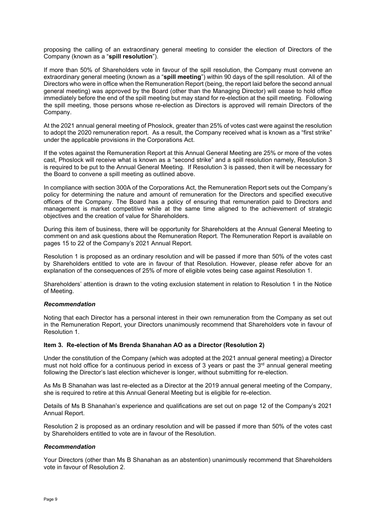proposing the calling of an extraordinary general meeting to consider the election of Directors of the Company (known as a "**spill resolution**").

If more than 50% of Shareholders vote in favour of the spill resolution, the Company must convene an extraordinary general meeting (known as a "**spill meeting**") within 90 days of the spill resolution. All of the Directors who were in office when the Remuneration Report (being, the report laid before the second annual general meeting) was approved by the Board (other than the Managing Director) will cease to hold office immediately before the end of the spill meeting but may stand for re-election at the spill meeting. Following the spill meeting, those persons whose re-election as Directors is approved will remain Directors of the Company.

At the 2021 annual general meeting of Phoslock, greater than 25% of votes cast were against the resolution to adopt the 2020 remuneration report. As a result, the Company received what is known as a "first strike" under the applicable provisions in the Corporations Act.

If the votes against the Remuneration Report at this Annual General Meeting are 25% or more of the votes cast, Phoslock will receive what is known as a "second strike" and a spill resolution namely, Resolution 3 is required to be put to the Annual General Meeting. If Resolution 3 is passed, then it will be necessary for the Board to convene a spill meeting as outlined above.

In compliance with section 300A of the Corporations Act, the Remuneration Report sets out the Company's policy for determining the nature and amount of remuneration for the Directors and specified executive officers of the Company. The Board has a policy of ensuring that remuneration paid to Directors and management is market competitive while at the same time aligned to the achievement of strategic objectives and the creation of value for Shareholders.

During this item of business, there will be opportunity for Shareholders at the Annual General Meeting to comment on and ask questions about the Remuneration Report. The Remuneration Report is available on pages 15 to 22 of the Company's 2021 Annual Report.

Resolution 1 is proposed as an ordinary resolution and will be passed if more than 50% of the votes cast by Shareholders entitled to vote are in favour of that Resolution. However, please refer above for an explanation of the consequences of 25% of more of eligible votes being case against Resolution 1.

Shareholders' attention is drawn to the voting exclusion statement in relation to Resolution 1 in the Notice of Meeting.

#### *Recommendation*

Noting that each Director has a personal interest in their own remuneration from the Company as set out in the Remuneration Report, your Directors unanimously recommend that Shareholders vote in favour of Resolution 1.

#### **Item 3. Re-election of Ms Brenda Shanahan AO as a Director (Resolution 2)**

Under the constitution of the Company (which was adopted at the 2021 annual general meeting) a Director must not hold office for a continuous period in excess of 3 years or past the  $3<sup>rd</sup>$  annual general meeting following the Director's last election whichever is longer, without submitting for re-election.

As Ms B Shanahan was last re-elected as a Director at the 2019 annual general meeting of the Company, she is required to retire at this Annual General Meeting but is eligible for re-election.

Details of Ms B Shanahan's experience and qualifications are set out on page 12 of the Company's 2021 Annual Report.

Resolution 2 is proposed as an ordinary resolution and will be passed if more than 50% of the votes cast by Shareholders entitled to vote are in favour of the Resolution.

#### *Recommendation*

Your Directors (other than Ms B Shanahan as an abstention) unanimously recommend that Shareholders vote in favour of Resolution 2.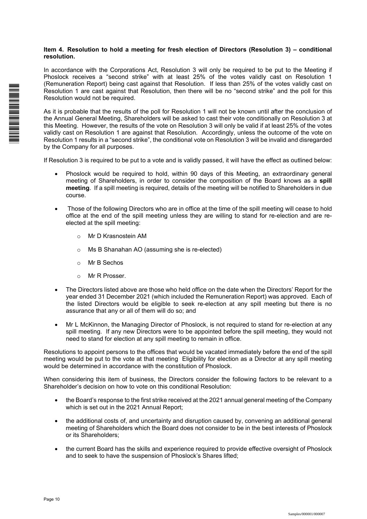#### **Item 4. Resolution to hold a meeting for fresh election of Directors (Resolution 3) – conditional resolution.**

In accordance with the Corporations Act, Resolution 3 will only be required to be put to the Meeting if Phoslock receives a "second strike" with at least 25% of the votes validly cast on Resolution 1 (Remuneration Report) being cast against that Resolution. If less than 25% of the votes validly cast on Resolution 1 are cast against that Resolution, then there will be no "second strike" and the poll for this Resolution would not be required.

As it is probable that the results of the poll for Resolution 1 will not be known until after the conclusion of the Annual General Meeting, Shareholders will be asked to cast their vote conditionally on Resolution 3 at this Meeting. However, the results of the vote on Resolution 3 will only be valid if at least 25% of the votes validly cast on Resolution 1 are against that Resolution. Accordingly, unless the outcome of the vote on Resolution 1 results in a "second strike", the conditional vote on Resolution 3 will be invalid and disregarded by the Company for all purposes.

If Resolution 3 is required to be put to a vote and is validly passed, it will have the effect as outlined below:

- Phoslock would be required to hold, within 90 days of this Meeting, an extraordinary general meeting of Shareholders, in order to consider the composition of the Board knows as a **spill meeting**. If a spill meeting is required, details of the meeting will be notified to Shareholders in due course.
- Those of the following Directors who are in office at the time of the spill meeting will cease to hold office at the end of the spill meeting unless they are willing to stand for re-election and are reelected at the spill meeting:
	- o Mr D Krasnostein AM
	- o Ms B Shanahan AO (assuming she is re-elected)
	- o Mr B Sechos
	- o Mr R Prosser.
- The Directors listed above are those who held office on the date when the Directors' Report for the year ended 31 December 2021 (which included the Remuneration Report) was approved. Each of the listed Directors would be eligible to seek re-election at any spill meeting but there is no assurance that any or all of them will do so; and
- Mr L McKinnon, the Managing Director of Phoslock, is not required to stand for re-election at any spill meeting. If any new Directors were to be appointed before the spill meeting, they would not need to stand for election at any spill meeting to remain in office.

Resolutions to appoint persons to the offices that would be vacated immediately before the end of the spill meeting would be put to the vote at that meeting Eligibility for election as a Director at any spill meeting would be determined in accordance with the constitution of Phoslock.

When considering this item of business, the Directors consider the following factors to be relevant to a Shareholder's decision on how to vote on this conditional Resolution:

- the Board's response to the first strike received at the 2021 annual general meeting of the Company which is set out in the 2021 Annual Report;
- the additional costs of, and uncertainty and disruption caused by, convening an additional general meeting of Shareholders which the Board does not consider to be in the best interests of Phoslock or its Shareholders;
- the current Board has the skills and experience required to provide effective oversight of Phoslock and to seek to have the suspension of Phoslock's Shares lifted;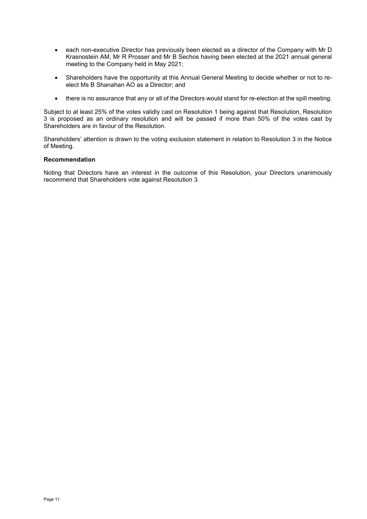- each non-executive Director has previously been elected as a director of the Company with Mr D Krasnostein AM, Mr R Prosser and Mr B Sechos having been elected at the 2021 annual general meeting to the Company held in May 2021;
- Shareholders have the opportunity at this Annual General Meeting to decide whether or not to reelect Ms B Shanahan AO as a Director; and
- there is no assurance that any or all of the Directors would stand for re-election at the spill meeting.

Subject to at least 25% of the votes validly cast on Resolution 1 being against that Resolution, Resolution 3 is proposed as an ordinary resolution and will be passed if more than 50% of the votes cast by Shareholders are in favour of the Resolution.

Shareholders' attention is drawn to the voting exclusion statement in relation to Resolution 3 in the Notice of Meeting.

#### **Recommendation**

Noting that Directors have an interest in the outcome of this Resolution, your Directors unanimously recommend that Shareholders vote against Resolution 3.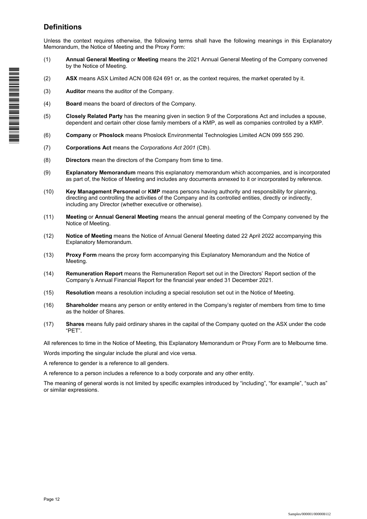### **Definitions**

Unless the context requires otherwise, the following terms shall have the following meanings in this Explanatory Memorandum, the Notice of Meeting and the Proxy Form:

- (1) **Annual General Meeting** or **Meeting** means the 2021 Annual General Meeting of the Company convened by the Notice of Meeting.
- (2) **ASX** means ASX Limited ACN 008 624 691 or, as the context requires, the market operated by it.
- (3) **Auditor** means the auditor of the Company.
- (4) **Board** means the board of directors of the Company.
- (5) **Closely Related Party** has the meaning given in section 9 of the Corporations Act and includes a spouse, dependent and certain other close family members of a KMP, as well as companies controlled by a KMP.
- (6) **Company** or **Phoslock** means Phoslock Environmental Technologies Limited ACN 099 555 290.
- (7) **Corporations Act** means the *Corporations Act 2001* (Cth).
- (8) **Directors** mean the directors of the Company from time to time.
- (9) **Explanatory Memorandum** means this explanatory memorandum which accompanies, and is incorporated as part of, the Notice of Meeting and includes any documents annexed to it or incorporated by reference.
- (10) **Key Management Personnel** or **KMP** means persons having authority and responsibility for planning, directing and controlling the activities of the Company and its controlled entities, directly or indirectly, including any Director (whether executive or otherwise).
- (11) **Meeting** or **Annual General Meeting** means the annual general meeting of the Company convened by the Notice of Meeting.
- (12) **Notice of Meeting** means the Notice of Annual General Meeting dated 22 April 2022 accompanying this Explanatory Memorandum.
- (13) **Proxy Form** means the proxy form accompanying this Explanatory Memorandum and the Notice of Meeting.
- (14) **Remuneration Report** means the Remuneration Report set out in the Directors' Report section of the Company's Annual Financial Report for the financial year ended 31 December 2021.
- (15) **Resolution** means a resolution including a special resolution set out in the Notice of Meeting.
- (16) **Shareholder** means any person or entity entered in the Company's register of members from time to time as the holder of Shares.
- (17) **Shares** means fully paid ordinary shares in the capital of the Company quoted on the ASX under the code "PET".

All references to time in the Notice of Meeting, this Explanatory Memorandum or Proxy Form are to Melbourne time.

Words importing the singular include the plural and vice versa.

A reference to gender is a reference to all genders.

A reference to a person includes a reference to a body corporate and any other entity.

The meaning of general words is not limited by specific examples introduced by "including", "for example", "such as" or similar expressions.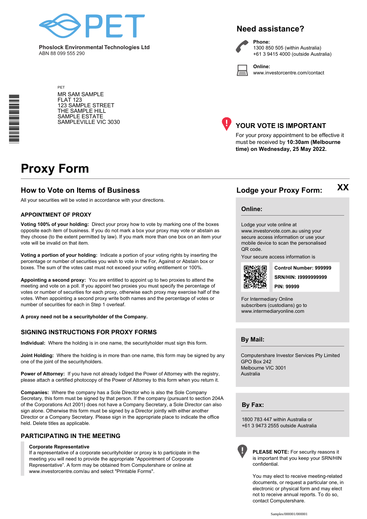

**Phoslock Environmental Technologies Ltd** ABN 88 099 555 290

### **Need assistance?**

**Phone:**



1300 850 505 (within Australia) +61 3 9415 4000 (outside Australia)

**Online:** www.investorcentre.com/contact

MR SAM SAMPLE FLAT 123 123 SAMPLE STREET THE SAMPLE HILL SAMPLE ESTATE SAMPLEVILLE VIC 3030



#### **YOUR VOTE IS IMPORTANT**

For your proxy appointment to be effective it must be received by **10:30am (Melbourne time) on Wednesday, 25 May 2022.**

## **Proxy Form**

\*<br>\* London<br>Timografia

PET

#### **How to Vote on Items of Business Lodge your Proxy Form:**

All your securities will be voted in accordance with your directions.

#### **APPOINTMENT OF PROXY**

**Voting 100% of your holding:** Direct your proxy how to vote by marking one of the boxes opposite each item of business. If you do not mark a box your proxy may vote or abstain as they choose (to the extent permitted by law). If you mark more than one box on an item your vote will be invalid on that item.

**Voting a portion of your holding:** Indicate a portion of your voting rights by inserting the percentage or number of securities you wish to vote in the For, Against or Abstain box or boxes. The sum of the votes cast must not exceed your voting entitlement or 100%.

**Appointing a second proxy:** You are entitled to appoint up to two proxies to attend the meeting and vote on a poll. If you appoint two proxies you must specify the percentage of votes or number of securities for each proxy, otherwise each proxy may exercise half of the votes. When appointing a second proxy write both names and the percentage of votes or number of securities for each in Step 1 overleaf.

**A proxy need not be a securityholder of the Company.**

#### **SIGNING INSTRUCTIONS FOR PROXY FORMS**

**Individual:** Where the holding is in one name, the securityholder must sign this form.

**Joint Holding:** Where the holding is in more than one name, this form may be signed by any one of the joint of the securityholders.

Power of Attorney: If you have not already lodged the Power of Attorney with the registry, please attach a certified photocopy of the Power of Attorney to this form when you return it.

**Companies:** Where the company has a Sole Director who is also the Sole Company Secretary, this form must be signed by that person. If the company (pursuant to section 204A of the Corporations Act 2001) does not have a Company Secretary, a Sole Director can also sign alone. Otherwise this form must be signed by a Director jointly with either another Director or a Company Secretary. Please sign in the appropriate place to indicate the office held. Delete titles as applicable.

#### **PARTICIPATING IN THE MEETING**

#### **Corporate Representative**

If a representative of a corporate securityholder or proxy is to participate in the meeting you will need to provide the appropriate "Appointment of Corporate Representative". A form may be obtained from Computershare or online at www.investorcentre.com/au and select "Printable Forms".

**Online:**

#### Lodge your vote online at

www.investorvote.com.au using your secure access information or use your mobile device to scan the personalised QR code.

Your secure access information is



**SRN/HIN: I9999999999 Control Number: 999999 PIN: 99999**

**XX**

For Intermediary Online subscribers (custodians) go to www.intermediaryonline.com

**By Mail:**

Computershare Investor Services Pty Limited GPO Box 242 Melbourne VIC 3001 Australia

**By Fax:**

1800 783 447 within Australia or +61 3 9473 2555 outside Australia



**PLEASE NOTE:** For security reasons it is important that you keep your SRN/HIN confidential.

You may elect to receive meeting-related documents, or request a particular one, in electronic or physical form and may elect not to receive annual reports. To do so, contact Computershare.